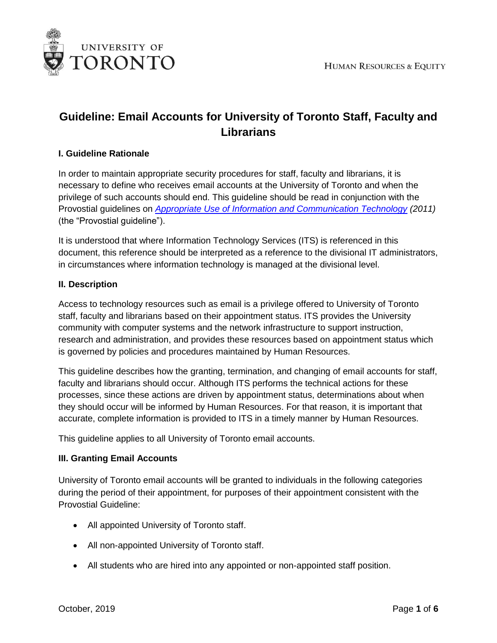

# **Guideline: Email Accounts for University of Toronto Staff, Faculty and Librarians**

## **I. Guideline Rationale**

In order to maintain appropriate security procedures for staff, faculty and librarians, it is necessary to define who receives email accounts at the University of Toronto and when the privilege of such accounts should end. This guideline should be read in conjunction with the Provostial guidelines on *[Appropriate Use of Information and Communication Technology](http://www.provost.utoronto.ca/policy/use.htm) (2011)* (the "Provostial guideline").

It is understood that where Information Technology Services (ITS) is referenced in this document, this reference should be interpreted as a reference to the divisional IT administrators, in circumstances where information technology is managed at the divisional level.

#### **II. Description**

Access to technology resources such as email is a privilege offered to University of Toronto staff, faculty and librarians based on their appointment status. ITS provides the University community with computer systems and the network infrastructure to support instruction, research and administration, and provides these resources based on appointment status which is governed by policies and procedures maintained by Human Resources.

This guideline describes how the granting, termination, and changing of email accounts for staff, faculty and librarians should occur. Although ITS performs the technical actions for these processes, since these actions are driven by appointment status, determinations about when they should occur will be informed by Human Resources. For that reason, it is important that accurate, complete information is provided to ITS in a timely manner by Human Resources.

This guideline applies to all University of Toronto email accounts.

#### **III. Granting Email Accounts**

University of Toronto email accounts will be granted to individuals in the following categories during the period of their appointment, for purposes of their appointment consistent with the Provostial Guideline:

- All appointed University of Toronto staff.
- All non-appointed University of Toronto staff.
- All students who are hired into any appointed or non-appointed staff position.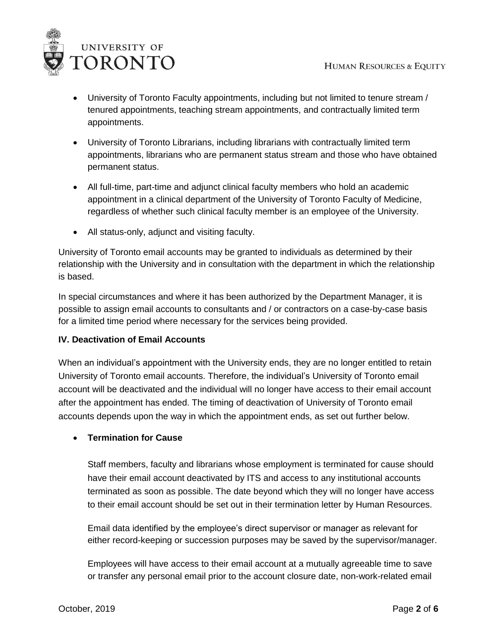

- University of Toronto Faculty appointments, including but not limited to tenure stream / tenured appointments, teaching stream appointments, and contractually limited term appointments.
- University of Toronto Librarians, including librarians with contractually limited term appointments, librarians who are permanent status stream and those who have obtained permanent status.
- All full-time, part-time and adjunct clinical faculty members who hold an academic appointment in a clinical department of the University of Toronto Faculty of Medicine, regardless of whether such clinical faculty member is an employee of the University.
- All status-only, adjunct and visiting faculty.

University of Toronto email accounts may be granted to individuals as determined by their relationship with the University and in consultation with the department in which the relationship is based.

In special circumstances and where it has been authorized by the Department Manager, it is possible to assign email accounts to consultants and / or contractors on a case-by-case basis for a limited time period where necessary for the services being provided.

# **IV. Deactivation of Email Accounts**

When an individual's appointment with the University ends, they are no longer entitled to retain University of Toronto email accounts. Therefore, the individual's University of Toronto email account will be deactivated and the individual will no longer have access to their email account after the appointment has ended. The timing of deactivation of University of Toronto email accounts depends upon the way in which the appointment ends, as set out further below.

# **Termination for Cause**

Staff members, faculty and librarians whose employment is terminated for cause should have their email account deactivated by ITS and access to any institutional accounts terminated as soon as possible. The date beyond which they will no longer have access to their email account should be set out in their termination letter by Human Resources.

Email data identified by the employee's direct supervisor or manager as relevant for either record-keeping or succession purposes may be saved by the supervisor/manager.

Employees will have access to their email account at a mutually agreeable time to save or transfer any personal email prior to the account closure date, non-work-related email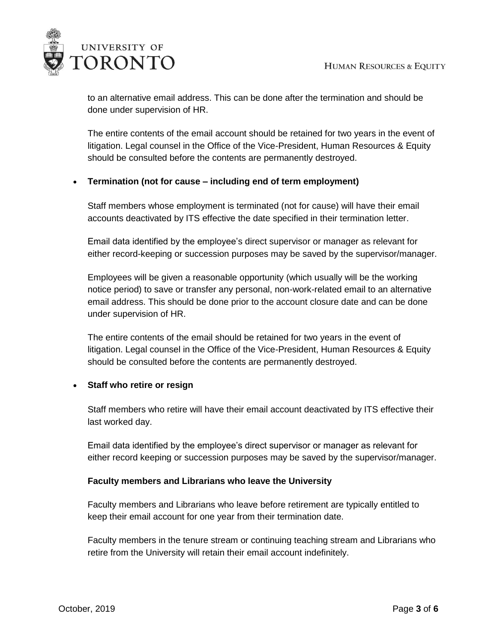

to an alternative email address. This can be done after the termination and should be done under supervision of HR.

The entire contents of the email account should be retained for two years in the event of litigation. Legal counsel in the Office of the Vice-President, Human Resources & Equity should be consulted before the contents are permanently destroyed.

# **Termination (not for cause – including end of term employment)**

Staff members whose employment is terminated (not for cause) will have their email accounts deactivated by ITS effective the date specified in their termination letter.

Email data identified by the employee's direct supervisor or manager as relevant for either record-keeping or succession purposes may be saved by the supervisor/manager.

Employees will be given a reasonable opportunity (which usually will be the working notice period) to save or transfer any personal, non-work-related email to an alternative email address. This should be done prior to the account closure date and can be done under supervision of HR.

The entire contents of the email should be retained for two years in the event of litigation. Legal counsel in the Office of the Vice-President, Human Resources & Equity should be consulted before the contents are permanently destroyed.

# **Staff who retire or resign**

Staff members who retire will have their email account deactivated by ITS effective their last worked day.

Email data identified by the employee's direct supervisor or manager as relevant for either record keeping or succession purposes may be saved by the supervisor/manager.

#### **Faculty members and Librarians who leave the University**

Faculty members and Librarians who leave before retirement are typically entitled to keep their email account for one year from their termination date.

Faculty members in the tenure stream or continuing teaching stream and Librarians who retire from the University will retain their email account indefinitely.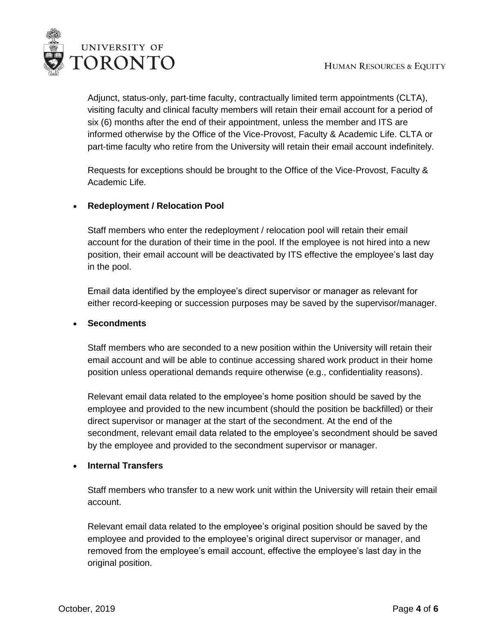

Adjunct, status-only, part-time faculty, contractually limited term appointments (CLTA), visiting faculty and clinical faculty members will retain their email account for a period of six (6) months after the end of their appointment, unless the member and ITS are informed otherwise by the Office of the Vice-Provost, Faculty & Academic Life. CLTA or part-time faculty who retire from the University will retain their email account indefinitely.

Requests for exceptions should be brought to the Office of the Vice-Provost, Faculty & Academic Life.

# **Redeployment / Relocation Pool**

Staff members who enter the redeployment / relocation pool will retain their email account for the duration of their time in the pool. If the employee is not hired into a new position, their email account will be deactivated by ITS effective the employee's last day in the pool.

Email data identified by the employee's direct supervisor or manager as relevant for either record-keeping or succession purposes may be saved by the supervisor/manager.

## **Secondments**

Staff members who are seconded to a new position within the University will retain their email account and will be able to continue accessing shared work product in their home position unless operational demands require otherwise (e.g., confidentiality reasons).

Relevant email data related to the employee's home position should be saved by the employee and provided to the new incumbent (should the position be backfilled) or their direct supervisor or manager at the start of the secondment. At the end of the secondment, relevant email data related to the employee's secondment should be saved by the employee and provided to the secondment supervisor or manager.

# **Internal Transfers**

Staff members who transfer to a new work unit within the University will retain their email account.

Relevant email data related to the employee's original position should be saved by the employee and provided to the employee's original direct supervisor or manager, and removed from the employee's email account, effective the employee's last day in the original position.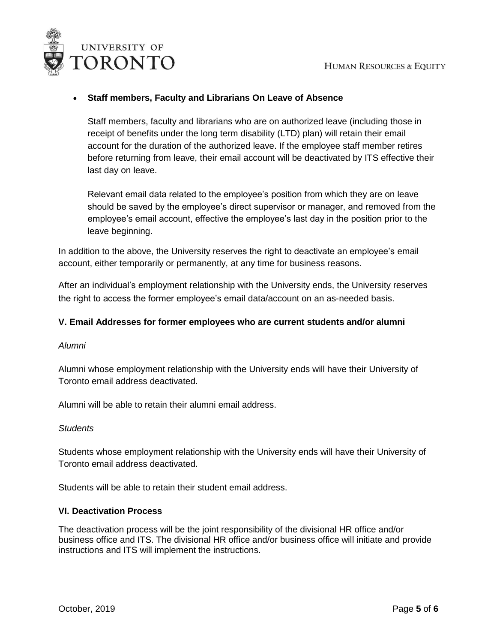

## **Staff members, Faculty and Librarians On Leave of Absence**

Staff members, faculty and librarians who are on authorized leave (including those in receipt of benefits under the long term disability (LTD) plan) will retain their email account for the duration of the authorized leave. If the employee staff member retires before returning from leave, their email account will be deactivated by ITS effective their last day on leave.

Relevant email data related to the employee's position from which they are on leave should be saved by the employee's direct supervisor or manager, and removed from the employee's email account, effective the employee's last day in the position prior to the leave beginning.

In addition to the above, the University reserves the right to deactivate an employee's email account, either temporarily or permanently, at any time for business reasons.

After an individual's employment relationship with the University ends, the University reserves the right to access the former employee's email data/account on an as-needed basis.

#### **V. Email Addresses for former employees who are current students and/or alumni**

#### *Alumni*

Alumni whose employment relationship with the University ends will have their University of Toronto email address deactivated.

Alumni will be able to retain their alumni email address.

#### *Students*

Students whose employment relationship with the University ends will have their University of Toronto email address deactivated.

Students will be able to retain their student email address.

#### **VI. Deactivation Process**

The deactivation process will be the joint responsibility of the divisional HR office and/or business office and ITS. The divisional HR office and/or business office will initiate and provide instructions and ITS will implement the instructions.